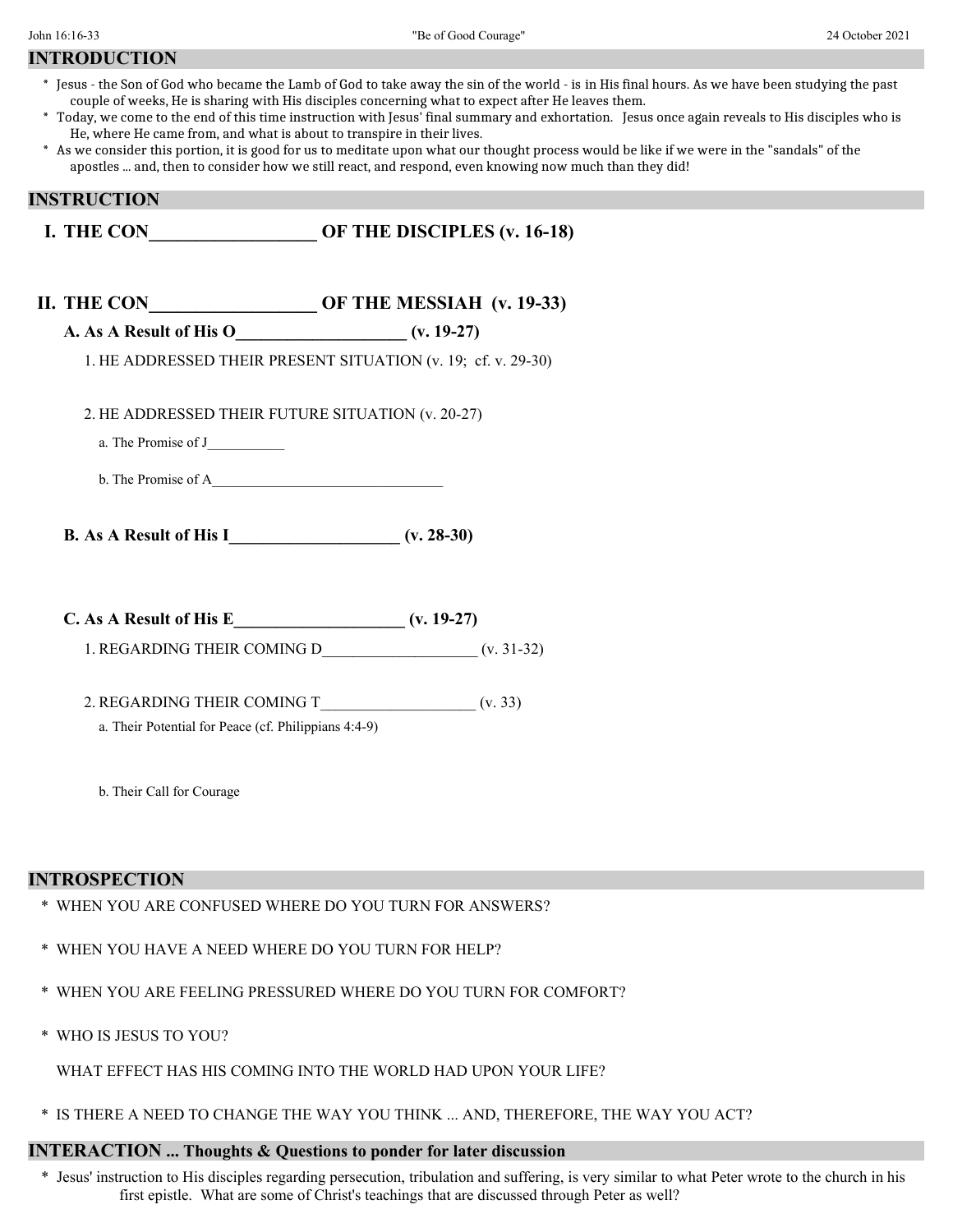| <b>INTRODUCTION</b> |
|---------------------|
|---------------------|

- \* Jesus the Son of God who became the Lamb of God to take away the sin of the world is in His final hours. As we have been studying the past couple of weeks, He is sharing with His disciples concerning what to expect after He leaves them.
- \* Today, we come to the end of this time instruction with Jesus' final summary and exhortation. Jesus once again reveals to His disciples who is He, where He came from, and what is about to transpire in their lives.
- \* As we consider this portion, it is good for us to meditate upon what our thought process would be like if we were in the "sandals" of the apostles ... and, then to consider how we still react, and respond, even knowing now much than they did!

# **INSTRUCTION**

- **I. THE CON OF THE DISCIPLES (v. 16-18)**
- **II. THE CON\_\_\_\_\_\_\_\_\_\_\_\_\_\_\_\_\_\_ OF THE MESSIAH (v. 19-33)**
	- **A. As A Result of His O\_\_\_\_\_\_\_\_\_\_\_\_\_\_\_\_\_\_\_\_ (v. 19-27)**
		- 1. HE ADDRESSED THEIR PRESENT SITUATION (v. 19; cf. v. 29-30)
		- 2. HE ADDRESSED THEIR FUTURE SITUATION (v. 20-27)
			- a. The Promise of J\_\_\_\_\_\_\_\_\_\_\_
			- b. The Promise of A
	- **B. As A Result of His I\_\_\_\_\_\_\_\_\_\_\_\_\_\_\_\_\_\_\_\_ (v. 28-30)**
	- **C. As A Result of His E\_\_\_\_\_\_\_\_\_\_\_\_\_\_\_\_\_\_\_\_ (v. 19-27)**
		- 1. REGARDING THEIR COMING D\_\_\_\_\_\_\_\_\_\_\_\_\_\_\_\_\_\_\_\_ (v. 31-32)
		- 2. REGARDING THEIR COMING T\_\_\_\_\_\_\_\_\_\_\_\_\_\_\_\_\_\_\_\_ (v. 33)
			- a. Their Potential for Peace (cf. Philippians 4:4-9)
			- b. Their Call for Courage

### **INTROSPECTION**

- \* WHEN YOU ARE CONFUSED WHERE DO YOU TURN FOR ANSWERS?
- \* WHEN YOU HAVE A NEED WHERE DO YOU TURN FOR HELP?
- \* WHEN YOU ARE FEELING PRESSURED WHERE DO YOU TURN FOR COMFORT?
- \* WHO IS JESUS TO YOU?
	- WHAT EFFECT HAS HIS COMING INTO THE WORLD HAD UPON YOUR LIFE?
- \* IS THERE A NEED TO CHANGE THE WAY YOU THINK ... AND, THEREFORE, THE WAY YOU ACT?

## **INTERACTION ... Thoughts & Questions to ponder for later discussion**

\* Jesus' instruction to His disciples regarding persecution, tribulation and suffering, is very similar to what Peter wrote to the church in his first epistle. What are some of Christ's teachings that are discussed through Peter as well?